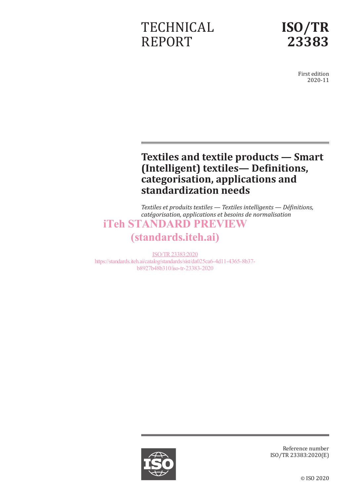# **TECHNICAL** REPORT



First edition 2020-11

## **Textiles and textile products — Smart (Intelligent) textiles— Definitions, categorisation, applications and standardization needs**

*Textiles et produits textiles — Textiles intelligents — Définitions, catégorisation, applications et besoins de normalisation* iTeh STANDARD PREVIEW

# (standards.iteh.ai)

ISO/TR23383:2020 https://standards.iteh.ai/catalog/standards/sist/da025ca6-4d11-4365-8b37 b8927b48b310/iso-tr-23383-2020



Reference number ISO/TR 23383:2020(E)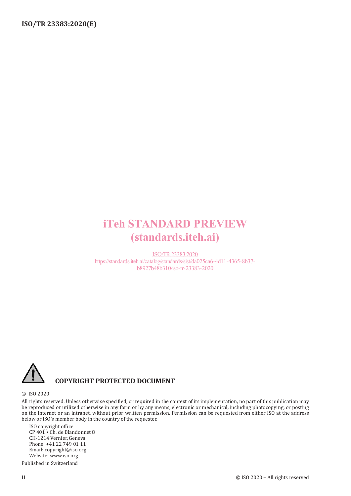## iTeh STANDARD PREVIEW (standards.iteh.ai)

ISO/TR23383:2020 https://standards.iteh.ai/catalog/standards/sist/da025ca6-4d11-4365-8b37 b8927b48b310/iso-tr-23383-2020



## **COPYRIGHT PROTECTED DOCUMENT**

#### © ISO 2020

All rights reserved. Unless otherwise specified, or required in the context of its implementation, no part of this publication may be reproduced or utilized otherwise in any form or by any means, electronic or mechanical, including photocopying, or posting on the internet or an intranet, without prior written permission. Permission can be requested from either ISO at the address below or ISO's member body in the country of the requester.

ISO copyright office CP 401 • Ch. de Blandonnet 8 CH-1214 Vernier, Geneva Phone: +41 22 749 01 11 Email: copyright@iso.org Website: www.iso.org Published in Switzerland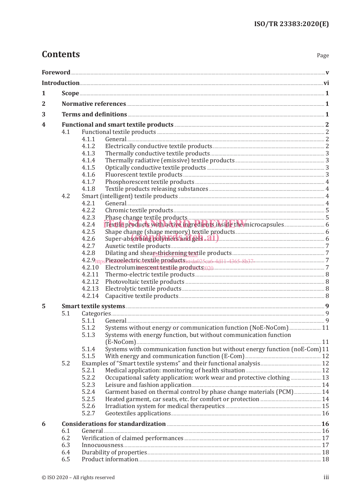## **Contents**

| 1 |                                                          |                                                                                       |  |  |  |
|---|----------------------------------------------------------|---------------------------------------------------------------------------------------|--|--|--|
|   | $\overline{2}$                                           |                                                                                       |  |  |  |
|   |                                                          |                                                                                       |  |  |  |
| 3 |                                                          |                                                                                       |  |  |  |
| 4 | Functional and smart textile products <b>Execution</b> 2 |                                                                                       |  |  |  |
|   | 4.1                                                      |                                                                                       |  |  |  |
|   |                                                          | 4.1.1                                                                                 |  |  |  |
|   |                                                          | 4.1.2                                                                                 |  |  |  |
|   |                                                          | 4.1.3                                                                                 |  |  |  |
|   |                                                          | 4.1.4                                                                                 |  |  |  |
|   |                                                          | 4.1.5<br>4.1.6                                                                        |  |  |  |
|   |                                                          | 4.1.7                                                                                 |  |  |  |
|   |                                                          | 4.1.8                                                                                 |  |  |  |
|   | 4.2                                                      |                                                                                       |  |  |  |
|   |                                                          | 4.2.1                                                                                 |  |  |  |
|   |                                                          | 4.2.2                                                                                 |  |  |  |
|   |                                                          | 4.2.3                                                                                 |  |  |  |
|   |                                                          | 4.2.4                                                                                 |  |  |  |
|   |                                                          | 4.2.5                                                                                 |  |  |  |
|   |                                                          | Super-absorbing polymers and gels. 21.<br>4.2.6                                       |  |  |  |
|   |                                                          | 4.2.7                                                                                 |  |  |  |
|   |                                                          | 4.2.8                                                                                 |  |  |  |
|   |                                                          |                                                                                       |  |  |  |
|   |                                                          | 4.2.10                                                                                |  |  |  |
|   |                                                          | 4.2.11                                                                                |  |  |  |
|   |                                                          | 4.2.12                                                                                |  |  |  |
|   |                                                          | 4.2.13                                                                                |  |  |  |
|   |                                                          | 4.2.14                                                                                |  |  |  |
| 5 |                                                          | Smart textile systems <b>Marshall</b> 9                                               |  |  |  |
|   | 5.1                                                      |                                                                                       |  |  |  |
|   |                                                          | 5.1.1                                                                                 |  |  |  |
|   |                                                          | 5.1.2                                                                                 |  |  |  |
|   |                                                          | Systems with energy function, but without communication function<br>5.1.3             |  |  |  |
|   |                                                          |                                                                                       |  |  |  |
|   |                                                          | Systems with communication function but without energy function (noE-Com)11<br>5.1.4  |  |  |  |
|   |                                                          | 5.1.5                                                                                 |  |  |  |
|   | 5.2                                                      |                                                                                       |  |  |  |
|   |                                                          | 5.2.1<br>5.2.2                                                                        |  |  |  |
|   |                                                          | Occupational safety application: work wear and protective clothing  13                |  |  |  |
|   |                                                          | 5.2.3<br>5.2.4<br>Garment based on thermal control by phase change materials (PCM) 14 |  |  |  |
|   |                                                          | 5.2.5                                                                                 |  |  |  |
|   |                                                          | 5.2.6                                                                                 |  |  |  |
|   |                                                          | 5.2.7                                                                                 |  |  |  |
|   |                                                          |                                                                                       |  |  |  |
| 6 |                                                          | Considerations for standardization <b>Execution</b> 26                                |  |  |  |
|   | 6.1                                                      |                                                                                       |  |  |  |
|   | 6.2                                                      |                                                                                       |  |  |  |
|   | 6.3<br>6.4                                               |                                                                                       |  |  |  |
|   | 6.5                                                      |                                                                                       |  |  |  |
|   |                                                          |                                                                                       |  |  |  |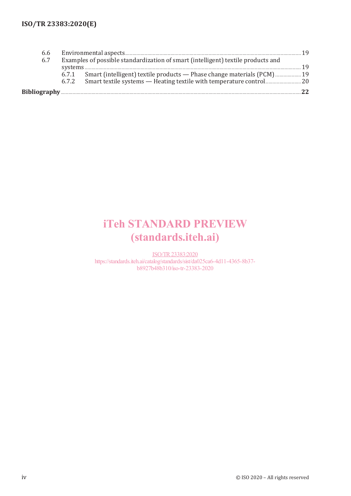## **ISO/TR 23383:2020(E)**

| 6.6 |       |                                                                                  | 1 Q |
|-----|-------|----------------------------------------------------------------------------------|-----|
| 6.7 |       | Examples of possible standardization of smart (intelligent) textile products and |     |
|     |       |                                                                                  | 1 Q |
|     | 6.7.1 | Smart (intelligent) textile products — Phase change materials (PCM)  19          |     |
|     |       |                                                                                  |     |
|     |       |                                                                                  |     |

## iTeh STANDARD PREVIEW (standards.iteh.ai)

ISO/TR23383:2020 https://standards.iteh.ai/catalog/standards/sist/da025ca6-4d11-4365-8b37 b8927b48b310/iso-tr-23383-2020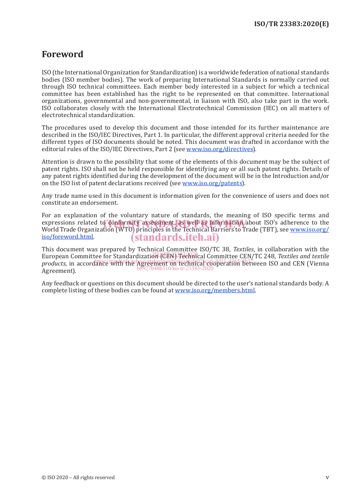## **Foreword**

ISO (the International Organization for Standardization) is a worldwide federation of national standards bodies (ISO member bodies). The work of preparing International Standards is normally carried out through ISO technical committees. Each member body interested in a subject for which a technical committee has been established has the right to be represented on that committee. International organizations, governmental and non-governmental, in liaison with ISO, also take part in the work. ISO collaborates closely with the International Electrotechnical Commission (IEC) on all matters of electrotechnical standardization.

The procedures used to develop this document and those intended for its further maintenance are described in the ISO/IEC Directives, Part 1. In particular, the different approval criteria needed for the different types of ISO documents should be noted. This document was drafted in accordance with the editorial rules of the ISO/IEC Directives, Part 2 (see www.iso.org/directives).

Attention is drawn to the possibility that some of the elements of this document may be the subject of patent rights. ISO shall not be held responsible for identifying any or all such patent rights. Details of any patent rights identified during the development of the document will be in the Introduction and/or on the ISO list of patent declarations received (see www.iso.org/patents).

Any trade name used in this document is information given for the convenience of users and does not constitute an endorsement.

For an explanation of the voluntary nature of standards, the meaning of ISO specific terms and expressions related to conformity assessment, as well as information about ISO's adherence to the experience or<br>World Trade Organization (WTO) principles in the Technical Barriers to Trade (TBT), see www.iso.org/ World Trade Organization (WTO) principles in the Technical Barriers to Trade (TBT), see www.iso.org/ iso/foreword.html. (standards.iteh.ai)

This document was prepared by Technical Committee ISO/TC 38, *Textiles*, in collaboration with the European Committee for Standardization (CEN) Technical Committee CEN/TC 248, *Textiles and textile* **European** Committee of Standardization (CEN) Technical Committee CEN/TC 248, *Textiles and textile* products, in accordance with the Agreement on technical cooperation between ISO and CEN (Vienna Agreement). b8927b48b310/iso-tr-23383-2020

Any feedback or questions on this document should be directed to the user's national standards body. A complete listing of these bodies can be found at www.iso.org/members.html.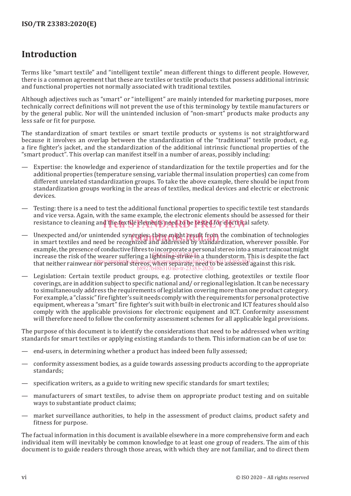## **Introduction**

Terms like "smart textile" and "intelligent textile" mean different things to different people. However, there is a common agreement that these are textiles or textile products that possess additional intrinsic and functional properties not normally associated with traditional textiles.

Although adjectives such as "smart" or "intelligent" are mainly intended for marketing purposes, more technically correct definitions will not prevent the use of this terminology by textile manufacturers or by the general public. Nor will the unintended inclusion of "non-smart" products make products any less safe or fit for purpose.

The standardization of smart textiles or smart textile products or systems is not straightforward because it involves an overlap between the standardization of the "traditional" textile product, e.g. a fire fighter's jacket, and the standardization of the additional intrinsic functional properties of the "smart product". This overlap can manifest itself in a number of areas, possibly including:

- Expertise: the knowledge and experience of standardization for the textile properties and for the additional properties (temperature sensing, variable thermal insulation properties) can come from different unrelated standardization groups. To take the above example, there should be input from standardization groups working in the areas of textiles, medical devices and electric or electronic devices.
- Testing: there is a need to test the additional functional properties to specific textile test standards and vice versa. Again, with the same example, the electronic elements should be assessed for their resistance to cleaning and the textile elements need to be tested for electrical safety.
- Unexpected and/or unintended synergies: these might result from the combination of technologies in smart textiles and need be recognized and addressed by standardization, wherever possible. For in smart textiles and need be recognized and addressed by standardization, wherever possible. For example, the presence of conductive fibres to incorporate a personal stereo into a smart raincoat might increase the risk of the wearer suffering a lightning-strike in a thunderstorm. This is despite the fact increase the risk of the wearer suffering a lightning-strike in a thunderstorm. This is despite the fact that neither rainwear nor personal stereos, when separate, need to be assessed against this risk. b8927b48b310/iso-tr-23383-2020
- Legislation: Certain textile product groups, e.g. protective clothing, geotextiles or textile floor coverings, are in addition subject to specific national and/ or regional legislation. It can be necessary to simultaneously address the requirements of legislation covering more than one product category. For example, a "classic" fire fighter's suit needs comply with the requirements for personal protective equipment, whereas a "smart" fire fighter's suit with built-in electronic and ICT features should also comply with the applicable provisions for electronic equipment and ICT. Conformity assessment will therefore need to follow the conformity assessment schemes for all applicable legal provisions.

The purpose of this document is to identify the considerations that need to be addressed when writing standards for smart textiles or applying existing standards to them. This information can be of use to:

- end-users, in determining whether a product has indeed been fully assessed;
- conformity assessment bodies, as a guide towards assessing products according to the appropriate standards;
- specification writers, as a guide to writing new specific standards for smart textiles;
- manufacturers of smart textiles, to advise them on appropriate product testing and on suitable ways to substantiate product claims;
- market surveillance authorities, to help in the assessment of product claims, product safety and fitness for purpose.

The factual information in this document is available elsewhere in a more comprehensive form and each individual item will inevitably be common knowledge to at least one group of readers. The aim of this document is to guide readers through those areas, with which they are not familiar, and to direct them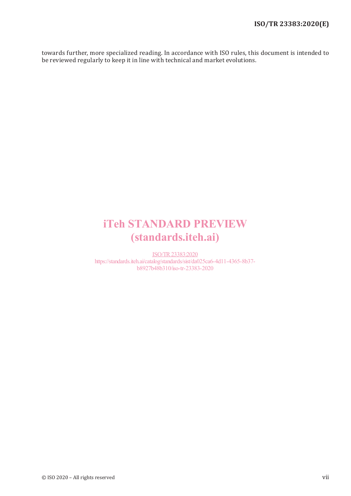towards further, more specialized reading. In accordance with ISO rules, this document is intended to be reviewed regularly to keep it in line with technical and market evolutions.

## iTeh STANDARD PREVIEW (standards.iteh.ai)

ISO/TR23383:2020 https://standards.iteh.ai/catalog/standards/sist/da025ca6-4d11-4365-8b37 b8927b48b310/iso-tr-23383-2020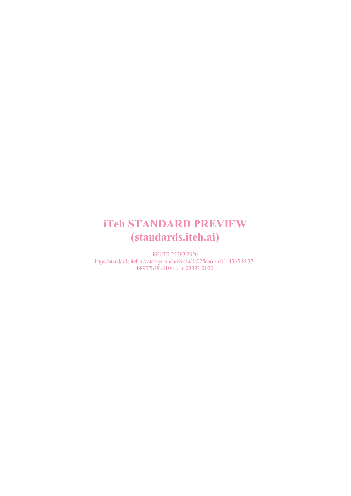## iTeh STANDARD PREVIEW (standards.iteh.ai)

ISO/TR23383:2020 https://standards.iteh.ai/catalog/standards/sist/da025ca6-4d11-4365-8b37 b8927b48b310/iso-tr-23383-2020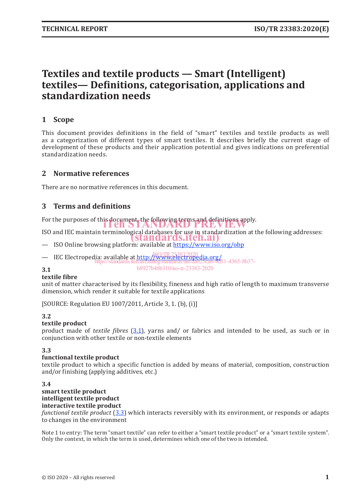## **Textiles and textile products — Smart (Intelligent) textiles— Definitions, categorisation, applications and standardization needs**

## **1 Scope**

This document provides definitions in the field of "smart" textiles and textile products as well as a categorization of different types of smart textiles. It describes briefly the current stage of development of these products and their application potential and gives indications on preferential standardization needs.

## **2 Normative references**

There are no normative references in this document.

## **3 Terms and definitions**

For the purposes of this document, the following terms and definitions apply.

ISO and IEC maintain terminological databases for use in standardization at the following addresses: (standards.iteh.ai)

b8927b48b310/iso-tr-23383-2020

- ISO Online browsing platform: available at https://www.iso.org/obp
- IEC Electropedia: available at http://www.electropedia.org/ ISO/TR23383:2020 https://standards.iteh.ai/catalog/standards/sist/da025ca6-4d11-4365-8b37-

**3.1**

## **textile fibre**

unit of matter characterised by its flexibility, fineness and high ratio of length to maximum transverse dimension, which render it suitable for textile applications

[SOURCE: Regulation EU 1007/2011, Article 3, 1. (b), (i)]

## **3.2**

## **textile product**

product made of *textile fibres* (3.1), yarns and/ or fabrics and intended to be used, as such or in conjunction with other textile or non-textile elements

## **3.3**

## **functional textile product**

textile product to which a specific function is added by means of material, composition, construction and/or finishing (applying additives, etc.)

## **3.4**

#### **smart textile product intelligent textile product interactive textile product**

*functional textile product* (3.3) which interacts reversibly with its environment, or responds or adapts to changes in the environment

Note 1 to entry: The term "smart textile" can refer to either a "smart textile product" or a "smart textile system". Only the context, in which the term is used, determines which one of the two is intended.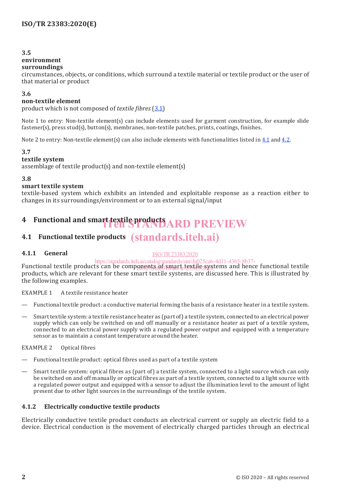## **3.5**

## **environment**

### **surroundings**

circumstances, objects, or conditions, which surround a textile material or textile product or the user of that material or product

## **3.6**

### **non-textile element**

product which is not composed of *textile fibres* (3.1)

Note 1 to entry: Non-textile element(s) can include elements used for garment construction, for example slide fastener(s), press stud(s), button(s), membranes, non-textile patches, prints, coatings, finishes.

Note 2 to entry: Non-textile element(s) can also include elements with functionalities listed in 4.1 and 4.2.

### **3.7**

### **textile system**

assemblage of textile product(s) and non-textile element(s)

### **3.8**

### **smart textile system**

textile-based system which exhibits an intended and exploitable response as a reaction either to changes in its surroundings/environment or to an external signal/input

# **4 Functional and smart textile products** iTeh STANDARD PREVIEW

## **4.1 Functional textile products** (standards.iteh.ai)

#### **4.1.1 General**

## ISO/TR23383:2020

Functional textile products can be components of smart textile systems and hence functional textile products, which are relevant for these smart textile systems, are discussed here. This is illustrated by the following examples. https://standards.iteh.ai/catalog/standards/sist/da025ca6-4d11-4365-8b37-

EXAMPLE 1 A textile resistance heater

- Functional textile product: a conductive material forming the basis of a resistance heater in a textile system.
- Smart textile system: a textile resistance heater as (part of) a textile system, connected to an electrical power supply which can only be switched on and off manually or a resistance heater as part of a textile system, connected to an electrical power supply with a regulated power output and equipped with a temperature sensor as to maintain a constant temperature around the heater.

EXAMPLE 2 Optical fibres

- Functional textile product: optical fibres used as part of a textile system
- Smart textile system: optical fibres as (part of) a textile system, connected to a light source which can only be switched on and off manually or optical fibres as part of a textile system, connected to a light source with a regulated power output and equipped with a sensor to adjust the illumination level to the amount of light present due to other light sources in the surroundings of the textile system.

## **4.1.2 Electrically conductive textile products**

Electrically conductive textile product conducts an electrical current or supply an electric field to a device. Electrical conduction is the movement of electrically charged particles through an electrical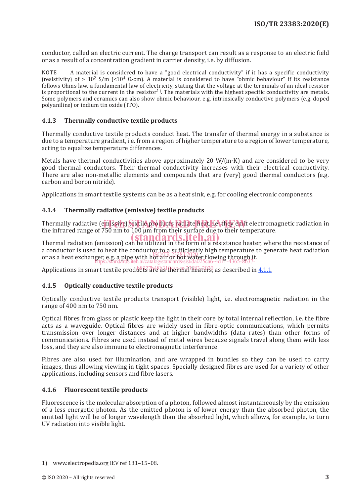conductor, called an electric current. The charge transport can result as a response to an electric field or as a result of a concentration gradient in carrier density, i.e. by diffusion.

NOTE A material is considered to have a "good electrical conductivity" if it has a specific conductivity (resistivity) of  $> 10^2$  S/m (<10<sup>4</sup>  $\Omega$ ·cm). A material is considered to have "ohmic behaviour" if its resistance follows Ohms law, a fundamental law of electricity, stating that the voltage at the terminals of an ideal resistor is proportional to the current in the resistor<sup>1</sup>). The materials with the highest specific conductivity are metals. Some polymers and ceramics can also show ohmic behaviour, e.g. intrinsically conductive polymers (e.g. doped polyaniline) or indium tin oxide (ITO).

## **4.1.3 Thermally conductive textile products**

Thermally conductive textile products conduct heat. The transfer of thermal energy in a substance is due to a temperature gradient, i.e. from a region of higher temperature to a region of lower temperature, acting to equalize temperature differences.

Metals have thermal conductivities above approximately 20 W/(m·K) and are considered to be very good thermal conductors. Their thermal conductivity increases with their electrical conductivity. There are also non-metallic elements and compounds that are (very) good thermal conductors (e.g. carbon and boron nitride).

Applications in smart textile systems can be as a heat sink, e.g. for cooling electronic components.

### **4.1.4 Thermally radiative (emissive) textile products**

Thermally radiative (emissive) textile products radiate heat, i.e. they emit electromagnetic radiation in the infrared range of 750 nm to 100 um from their surface due to their temperature. the infrared range of 750 nm to 100 µm from their surface due to their temperature.

Thermal radiation (emission) can be utilized in the form of a resistance heater, where the resistance of Thermal radiation (emission) can be utilized in the form of a resistance heater, where the resistance of a conductor is used to heat the conductor to a sufficiently high temperature to generate heat radiation or as a heat exchanger, e.g. a pipe with hot air or hot water flowing through jt. https://standards.iteh.ai/catalog/standards/sist/da025ca6-4d11-4365-8b37-

Applications in smart textile products are as thermal heaters, as described in <u>4.1.1</u>.

#### **4.1.5 Optically conductive textile products**

Optically conductive textile products transport (visible) light, i.e. electromagnetic radiation in the range of 400 nm to 750 nm.

Optical fibres from glass or plastic keep the light in their core by total internal reflection, i.e. the fibre acts as a waveguide. Optical fibres are widely used in fibre-optic communications, which permits transmission over longer distances and at higher bandwidths (data rates) than other forms of communications. Fibres are used instead of metal wires because signals travel along them with less loss, and they are also immune to electromagnetic interference.

Fibres are also used for illumination, and are wrapped in bundles so they can be used to carry images, thus allowing viewing in tight spaces. Specially designed fibres are used for a variety of other applications, including sensors and fibre lasers.

### **4.1.6 Fluorescent textile products**

Fluorescence is the molecular absorption of a photon, followed almost instantaneously by the emission of a less energetic photon. As the emitted photon is of lower energy than the absorbed photon, the emitted light will be of longer wavelength than the absorbed light, which allows, for example, to turn UV radiation into visible light.

<sup>1)</sup> www.electropedia.org IEV ref 131–15–08.